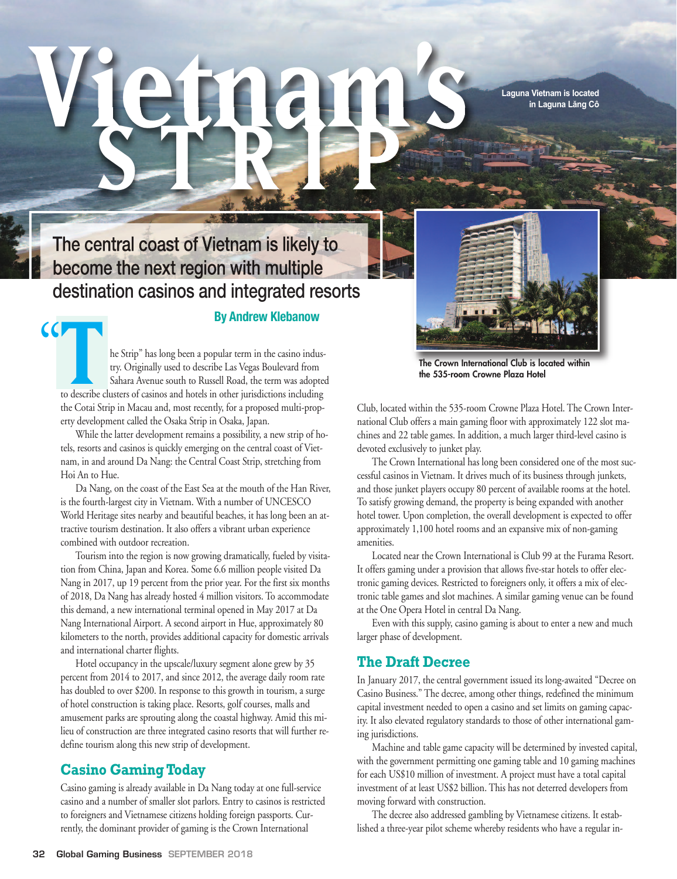**Laguna Vietnam is located in Laguna Lăng Cô**

# The central coast of Vietnam is likely to become the next region with multiple destination casinos and integrated resorts

#### **By Andrew Klebanow**

**Vietnam's**

**S T R I P**

**THE STRIP SECTA TENDE STRIP SUCH THE STRIP " has long been a popular term in the casino indus-<br>try. Originally used to describe Las Vegas Boulevard from<br>Sahara Avenue south to Russell Road, the term was adopted** try. Originally used to describe Las Vegas Boulevard from Sahara Avenue south to Russell Road, the term was adopted to describe clusters of casinos and hotels in other jurisdictions including the Cotai Strip in Macau and, most recently, for a proposed multi-property development called the Osaka Strip in Osaka, Japan.

 $|C|$ 

While the latter development remains a possibility, a new strip of hotels, resorts and casinos is quickly emerging on the central coast of Vietnam, in and around Da Nang: the Central Coast Strip, stretching from Hoi An to Hue.

Da Nang, on the coast of the East Sea at the mouth of the Han River, is the fourth-largest city in Vietnam. With a number of UNCESCO World Heritage sites nearby and beautiful beaches, it has long been an attractive tourism destination. It also offers a vibrant urban experience combined with outdoor recreation.

Tourism into the region is now growing dramatically, fueled by visitation from China, Japan and Korea. Some 6.6 million people visited Da Nang in 2017, up 19 percent from the prior year. For the first six months of 2018, Da Nang has already hosted 4 million visitors. To accommodate this demand, a new international terminal opened in May 2017 at Da Nang International Airport. A second airport in Hue, approximately 80 kilometers to the north, provides additional capacity for domestic arrivals and international charter flights.

Hotel occupancy in the upscale/luxury segment alone grew by 35 percent from 2014 to 2017, and since 2012, the average daily room rate has doubled to over \$200. In response to this growth in tourism, a surge of hotel construction is taking place. Resorts, golf courses, malls and amusement parks are sprouting along the coastal highway. Amid this milieu of construction are three integrated casino resorts that will further redefine tourism along this new strip of development.

### **Casino GamingToday**

Casino gaming is already available in Da Nang today at one full-service casino and a number of smaller slot parlors. Entry to casinos is restricted to foreigners and Vietnamese citizens holding foreign passports. Currently, the dominant provider of gaming is the Crown International

**The Crown International Club** is located within **the 535-room Crowne Plaza Hotel**

Club, located within the 535-room Crowne Plaza Hotel. The Crown International Club offers a main gaming floor with approximately 122 slot machines and 22 table games. In addition, a much larger third-level casino is devoted exclusively to junket play.

The Crown International has long been considered one of the most successful casinos in Vietnam. It drives much of its business through junkets, and those junket players occupy 80 percent of available rooms at the hotel. To satisfy growing demand, the property is being expanded with another hotel tower. Upon completion, the overall development is expected to offer approximately 1,100 hotel rooms and an expansive mix of non-gaming amenities.

Located near the Crown International is Club 99 at the Furama Resort. It offers gaming under a provision that allows five-star hotels to offer electronic gaming devices. Restricted to foreigners only, it offers a mix of electronic table games and slot machines. A similar gaming venue can be found at the One Opera Hotel in central Da Nang.

Even with this supply, casino gaming is about to enter a new and much larger phase of development.

#### **The Draft Decree**

In January 2017, the central government issued its long-awaited "Decree on Casino Business." The decree, among other things, redefined the minimum capital investment needed to open a casino and set limits on gaming capacity. It also elevated regulatory standards to those of other international gaming jurisdictions.

Machine and table game capacity will be determined by invested capital, with the government permitting one gaming table and 10 gaming machines for each US\$10 million of investment. A project must have a total capital investment of at least US\$2 billion. This has not deterred developers from moving forward with construction.

The decree also addressed gambling by Vietnamese citizens. It established a three-year pilot scheme whereby residents who have a regular in-